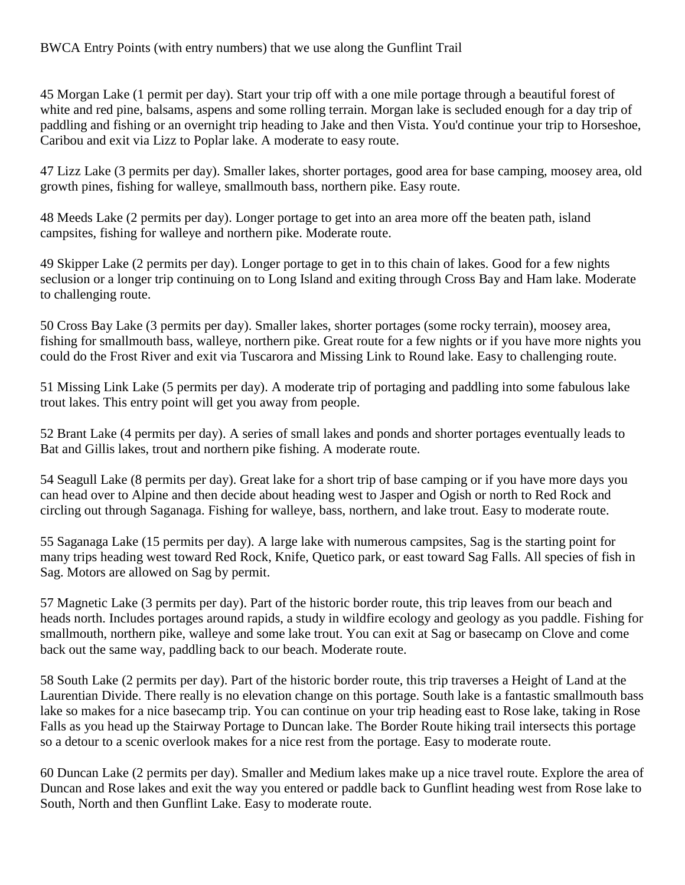45 Morgan Lake (1 permit per day). Start your trip off with a one mile portage through a beautiful forest of white and red pine, balsams, aspens and some rolling terrain. Morgan lake is secluded enough for a day trip of paddling and fishing or an overnight trip heading to Jake and then Vista. You'd continue your trip to Horseshoe, Caribou and exit via Lizz to Poplar lake. A moderate to easy route.

47 Lizz Lake (3 permits per day). Smaller lakes, shorter portages, good area for base camping, moosey area, old growth pines, fishing for walleye, smallmouth bass, northern pike. Easy route.

48 Meeds Lake (2 permits per day). Longer portage to get into an area more off the beaten path, island campsites, fishing for walleye and northern pike. Moderate route.

49 Skipper Lake (2 permits per day). Longer portage to get in to this chain of lakes. Good for a few nights seclusion or a longer trip continuing on to Long Island and exiting through Cross Bay and Ham lake. Moderate to challenging route.

50 Cross Bay Lake (3 permits per day). Smaller lakes, shorter portages (some rocky terrain), moosey area, fishing for smallmouth bass, walleye, northern pike. Great route for a few nights or if you have more nights you could do the Frost River and exit via Tuscarora and Missing Link to Round lake. Easy to challenging route.

51 Missing Link Lake (5 permits per day). A moderate trip of portaging and paddling into some fabulous lake trout lakes. This entry point will get you away from people.

52 Brant Lake (4 permits per day). A series of small lakes and ponds and shorter portages eventually leads to Bat and Gillis lakes, trout and northern pike fishing. A moderate route.

54 Seagull Lake (8 permits per day). Great lake for a short trip of base camping or if you have more days you can head over to Alpine and then decide about heading west to Jasper and Ogish or north to Red Rock and circling out through Saganaga. Fishing for walleye, bass, northern, and lake trout. Easy to moderate route.

55 Saganaga Lake (15 permits per day). A large lake with numerous campsites, Sag is the starting point for many trips heading west toward Red Rock, Knife, Quetico park, or east toward Sag Falls. All species of fish in Sag. Motors are allowed on Sag by permit.

57 Magnetic Lake (3 permits per day). Part of the historic border route, this trip leaves from our beach and heads north. Includes portages around rapids, a study in wildfire ecology and geology as you paddle. Fishing for smallmouth, northern pike, walleye and some lake trout. You can exit at Sag or basecamp on Clove and come back out the same way, paddling back to our beach. Moderate route.

58 South Lake (2 permits per day). Part of the historic border route, this trip traverses a Height of Land at the Laurentian Divide. There really is no elevation change on this portage. South lake is a fantastic smallmouth bass lake so makes for a nice basecamp trip. You can continue on your trip heading east to Rose lake, taking in Rose Falls as you head up the Stairway Portage to Duncan lake. The Border Route hiking trail intersects this portage so a detour to a scenic overlook makes for a nice rest from the portage. Easy to moderate route.

60 Duncan Lake (2 permits per day). Smaller and Medium lakes make up a nice travel route. Explore the area of Duncan and Rose lakes and exit the way you entered or paddle back to Gunflint heading west from Rose lake to South, North and then Gunflint Lake. Easy to moderate route.